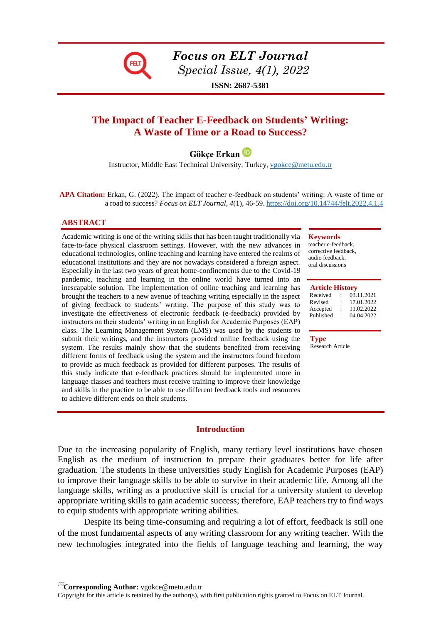

*Focus on ELT Journal Special Issue, 4(1), 2022*

**ISSN: 2687-5381**

# **The Impact of Teacher E-Feedback on Students' Writing: A Waste of Time or a Road to Success?**

**Gökçe Erkan**

Instructor, Middle East Technical University, Turkey, [vgokce@metu.edu.tr](mailto:vgokce@metu.edu.tr)

**APA Citation:** Erkan, G. (2022). The impact of teacher e-feedback on students' writing: A waste of time or a road to success? *Focus on ELT Journal, 4*(1), 46-59[. https://doi.org/10.14744/felt.2022.4.1.4](https://doi.org/10.14744/felt.2022.4.1.4)

### **ABSTRACT**

Academic writing is one of the writing skills that has been taught traditionally via face-to-face physical classroom settings. However, with the new advances in educational technologies, online teaching and learning have entered the realms of educational institutions and they are not nowadays considered a foreign aspect. Especially in the last two years of great home-confinements due to the Covid-19 pandemic, teaching and learning in the online world have turned into an inescapable solution. The implementation of online teaching and learning has brought the teachers to a new avenue of teaching writing especially in the aspect of giving feedback to students' writing. The purpose of this study was to investigate the effectiveness of electronic feedback (e-feedback) provided by instructors on their students' writing in an English for Academic Purposes (EAP) class. The Learning Management System (LMS) was used by the students to submit their writings, and the instructors provided online feedback using the system. The results mainly show that the students benefited from receiving different forms of feedback using the system and the instructors found freedom to provide as much feedback as provided for different purposes. The results of this study indicate that e-feedback practices should be implemented more in language classes and teachers must receive training to improve their knowledge and skills in the practice to be able to use different feedback tools and resources to achieve different ends on their students.

#### **Keywords**

teacher e-feedback, corrective feedback, audio feedback, oral discussions

#### **Article History**

|   | 03.11.2021 |
|---|------------|
| ٠ | 17.01.2022 |
|   | 11,02.2022 |
|   | 04.04.2022 |
|   |            |

**Type** Research Article

### **Introduction**

Due to the increasing popularity of English, many tertiary level institutions have chosen English as the medium of instruction to prepare their graduates better for life after graduation. The students in these universities study English for Academic Purposes (EAP) to improve their language skills to be able to survive in their academic life. Among all the language skills, writing as a productive skill is crucial for a university student to develop appropriate writing skills to gain academic success; therefore, EAP teachers try to find ways to equip students with appropriate writing abilities.

Despite its being time-consuming and requiring a lot of effort, feedback is still one of the most fundamental aspects of any writing classroom for any writing teacher. With the new technologies integrated into the fields of language teaching and learning, the way

**Corresponding Author:** vgokce@metu.edu.tr

Copyright for this article is retained by the author(s), with first publication rights granted to Focus on ELT Journal.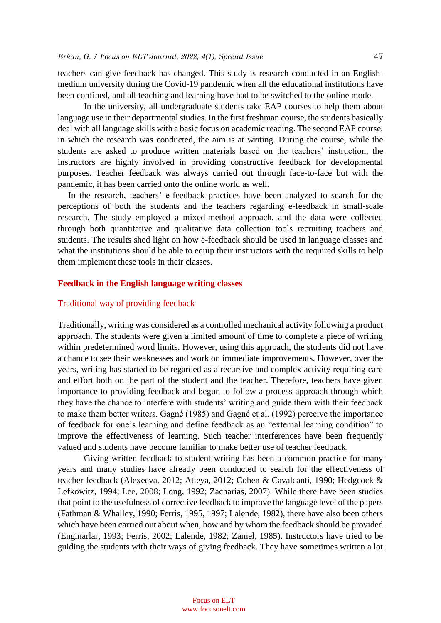teachers can give feedback has changed. This study is research conducted in an Englishmedium university during the Covid-19 pandemic when all the educational institutions have been confined, and all teaching and learning have had to be switched to the online mode.

In the university, all undergraduate students take EAP courses to help them about language use in their departmental studies. In the first freshman course, the students basically deal with all language skills with a basic focus on academic reading. The second EAP course, in which the research was conducted, the aim is at writing. During the course, while the students are asked to produce written materials based on the teachers' instruction, the instructors are highly involved in providing constructive feedback for developmental purposes. Teacher feedback was always carried out through face-to-face but with the pandemic, it has been carried onto the online world as well.

In the research, teachers' e-feedback practices have been analyzed to search for the perceptions of both the students and the teachers regarding e-feedback in small-scale research. The study employed a mixed-method approach, and the data were collected through both quantitative and qualitative data collection tools recruiting teachers and students. The results shed light on how e-feedback should be used in language classes and what the institutions should be able to equip their instructors with the required skills to help them implement these tools in their classes.

# **Feedback in the English language writing classes**

### Traditional way of providing feedback

Traditionally, writing was considered as a controlled mechanical activity following a product approach. The students were given a limited amount of time to complete a piece of writing within predetermined word limits. However, using this approach, the students did not have a chance to see their weaknesses and work on immediate improvements. However, over the years, writing has started to be regarded as a recursive and complex activity requiring care and effort both on the part of the student and the teacher. Therefore, teachers have given importance to providing feedback and begun to follow a process approach through which they have the chance to interfere with students' writing and guide them with their feedback to make them better writers. Gagné (1985) and Gagné et al. (1992) perceive the importance of feedback for one's learning and define feedback as an "external learning condition" to improve the effectiveness of learning. Such teacher interferences have been frequently valued and students have become familiar to make better use of teacher feedback.

Giving written feedback to student writing has been a common practice for many years and many studies have already been conducted to search for the effectiveness of teacher feedback (Alexeeva, 2012; Atieya, 2012; Cohen & Cavalcanti, 1990; Hedgcock & Lefkowitz, 1994; Lee, 2008; Long, 1992; Zacharias, 2007). While there have been studies that point to the usefulness of corrective feedback to improve the language level of the papers (Fathman & Whalley, 1990; Ferris, 1995, 1997; Lalende, 1982), there have also been others which have been carried out about when, how and by whom the feedback should be provided (Enginarlar, 1993; Ferris, 2002; Lalende, 1982; Zamel, 1985). Instructors have tried to be guiding the students with their ways of giving feedback. They have sometimes written a lot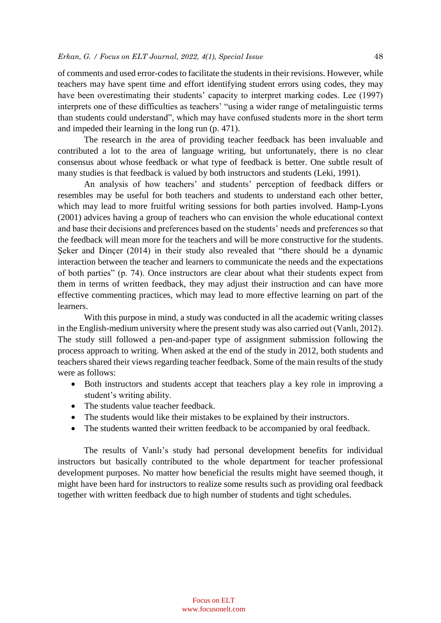of comments and used error-codes to facilitate the students in their revisions. However, while teachers may have spent time and effort identifying student errors using codes, they may have been overestimating their students' capacity to interpret marking codes. Lee (1997) interprets one of these difficulties as teachers' "using a wider range of metalinguistic terms than students could understand", which may have confused students more in the short term and impeded their learning in the long run (p. 471).

The research in the area of providing teacher feedback has been invaluable and contributed a lot to the area of language writing, but unfortunately, there is no clear consensus about whose feedback or what type of feedback is better. One subtle result of many studies is that feedback is valued by both instructors and students (Leki, 1991).

An analysis of how teachers' and students' perception of feedback differs or resembles may be useful for both teachers and students to understand each other better, which may lead to more fruitful writing sessions for both parties involved. Hamp-Lyons (2001) advices having a group of teachers who can envision the whole educational context and base their decisions and preferences based on the students' needs and preferences so that the feedback will mean more for the teachers and will be more constructive for the students. Seker and Dincer (2014) in their study also revealed that "there should be a dynamic interaction between the teacher and learners to communicate the needs and the expectations of both parties" (p. 74). Once instructors are clear about what their students expect from them in terms of written feedback, they may adjust their instruction and can have more effective commenting practices, which may lead to more effective learning on part of the learners.

With this purpose in mind, a study was conducted in all the academic writing classes in the English-medium university where the present study was also carried out (Vanlı, 2012). The study still followed a pen-and-paper type of assignment submission following the process approach to writing. When asked at the end of the study in 2012, both students and teachers shared their views regarding teacher feedback. Some of the main results of the study were as follows:

- Both instructors and students accept that teachers play a key role in improving a student's writing ability.
- The students value teacher feedback.
- The students would like their mistakes to be explained by their instructors.
- The students wanted their written feedback to be accompanied by oral feedback.

The results of Vanlı's study had personal development benefits for individual instructors but basically contributed to the whole department for teacher professional development purposes. No matter how beneficial the results might have seemed though, it might have been hard for instructors to realize some results such as providing oral feedback together with written feedback due to high number of students and tight schedules.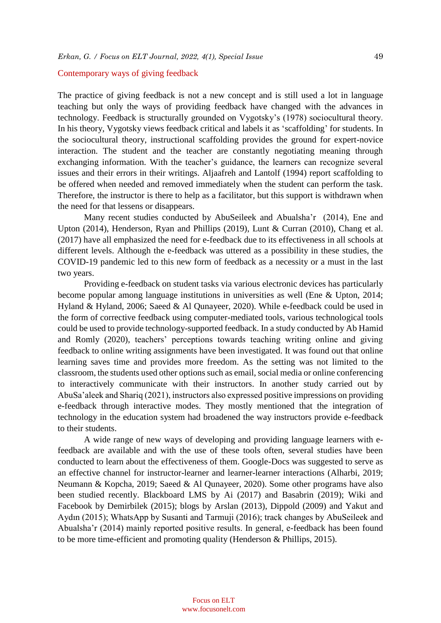# Contemporary ways of giving feedback

The practice of giving feedback is not a new concept and is still used a lot in language teaching but only the ways of providing feedback have changed with the advances in technology. Feedback is structurally grounded on Vygotsky's (1978) sociocultural theory. In his theory, Vygotsky views feedback critical and labels it as 'scaffolding' for students. In the sociocultural theory, instructional scaffolding provides the ground for expert-novice interaction. The student and the teacher are constantly negotiating meaning through exchanging information. With the teacher's guidance, the learners can recognize several issues and their errors in their writings. Aljaafreh and Lantolf (1994) report scaffolding to be offered when needed and removed immediately when the student can perform the task. Therefore, the instructor is there to help as a facilitator, but this support is withdrawn when the need for that lessens or disappears.

Many recent studies conducted by AbuSeileek and Abualsha'r (2014), Ene and Upton (2014), Henderson, Ryan and Phillips (2019), Lunt & Curran (2010), Chang et al. (2017) have all emphasized the need for e-feedback due to its effectiveness in all schools at different levels. Although the e-feedback was uttered as a possibility in these studies, the COVID-19 pandemic led to this new form of feedback as a necessity or a must in the last two years.

Providing e-feedback on student tasks via various electronic devices has particularly become popular among language institutions in universities as well (Ene & Upton, 2014; Hyland & Hyland, 2006; Saeed & Al Qunayeer, 2020). While e-feedback could be used in the form of corrective feedback using computer-mediated tools, various technological tools could be used to provide technology-supported feedback. In a study conducted by Ab Hamid and Romly (2020), teachers' perceptions towards teaching writing online and giving feedback to online writing assignments have been investigated. It was found out that online learning saves time and provides more freedom. As the setting was not limited to the classroom, the students used other options such as email, social media or online conferencing to interactively communicate with their instructors. In another study carried out by AbuSa'aleek and Shariq (2021), instructors also expressed positive impressions on providing e-feedback through interactive modes. They mostly mentioned that the integration of technology in the education system had broadened the way instructors provide e-feedback to their students.

A wide range of new ways of developing and providing language learners with efeedback are available and with the use of these tools often, several studies have been conducted to learn about the effectiveness of them. Google-Docs was suggested to serve as an effective channel for instructor-learner and learner-learner interactions (Alharbi, 2019; Neumann & Kopcha, 2019; Saeed & Al Qunayeer, 2020). Some other programs have also been studied recently. Blackboard LMS by Ai (2017) and Basabrin (2019); Wiki and Facebook by Demirbilek (2015); blogs by Arslan (2013), Dippold (2009) and Yakut and Aydın (2015); WhatsApp by Susanti and Tarmuji (2016); track changes by AbuSeileek and Abualsha'r (2014) mainly reported positive results. In general, e-feedback has been found to be more time-efficient and promoting quality (Henderson & Phillips, 2015).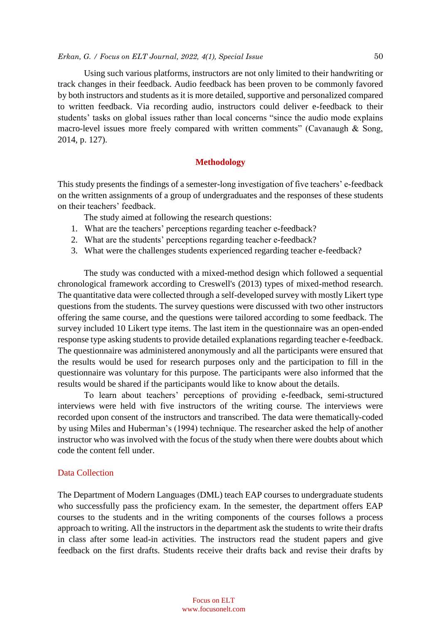#### *Erkan, G. / Focus on ELT Journal, 2022, 4(1), Special Issue* 50

Using such various platforms, instructors are not only limited to their handwriting or track changes in their feedback. Audio feedback has been proven to be commonly favored by both instructors and students as it is more detailed, supportive and personalized compared to written feedback. Via recording audio, instructors could deliver e-feedback to their students' tasks on global issues rather than local concerns "since the audio mode explains macro-level issues more freely compared with written comments" (Cavanaugh & Song, 2014, p. 127).

# **Methodology**

This study presents the findings of a semester-long investigation of five teachers' e-feedback on the written assignments of a group of undergraduates and the responses of these students on their teachers' feedback.

The study aimed at following the research questions:

- 1. What are the teachers' perceptions regarding teacher e-feedback?
- 2. What are the students' perceptions regarding teacher e-feedback?
- 3. What were the challenges students experienced regarding teacher e-feedback?

The study was conducted with a mixed-method design which followed a sequential chronological framework according to Creswell's (2013) types of mixed-method research. The quantitative data were collected through a self-developed survey with mostly Likert type questions from the students. The survey questions were discussed with two other instructors offering the same course, and the questions were tailored according to some feedback. The survey included 10 Likert type items. The last item in the questionnaire was an open-ended response type asking students to provide detailed explanations regarding teacher e-feedback. The questionnaire was administered anonymously and all the participants were ensured that the results would be used for research purposes only and the participation to fill in the questionnaire was voluntary for this purpose. The participants were also informed that the results would be shared if the participants would like to know about the details.

To learn about teachers' perceptions of providing e-feedback, semi-structured interviews were held with five instructors of the writing course. The interviews were recorded upon consent of the instructors and transcribed. The data were thematically-coded by using Miles and Huberman's (1994) technique. The researcher asked the help of another instructor who was involved with the focus of the study when there were doubts about which code the content fell under.

### Data Collection

The Department of Modern Languages (DML) teach EAP courses to undergraduate students who successfully pass the proficiency exam. In the semester, the department offers EAP courses to the students and in the writing components of the courses follows a process approach to writing. All the instructors in the department ask the students to write their drafts in class after some lead-in activities. The instructors read the student papers and give feedback on the first drafts. Students receive their drafts back and revise their drafts by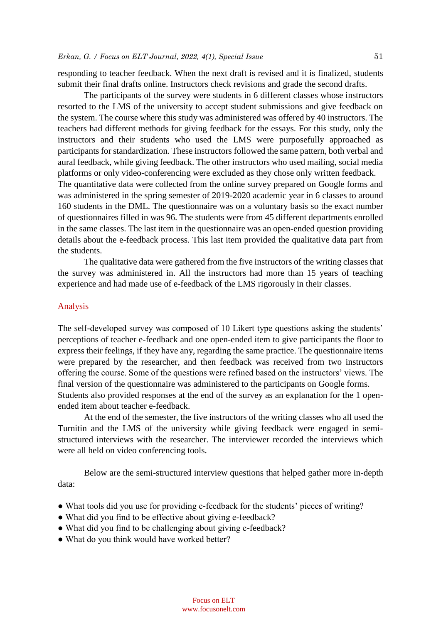responding to teacher feedback. When the next draft is revised and it is finalized, students submit their final drafts online. Instructors check revisions and grade the second drafts.

The participants of the survey were students in 6 different classes whose instructors resorted to the LMS of the university to accept student submissions and give feedback on the system. The course where this study was administered was offered by 40 instructors. The teachers had different methods for giving feedback for the essays. For this study, only the instructors and their students who used the LMS were purposefully approached as participants for standardization. These instructors followed the same pattern, both verbal and aural feedback, while giving feedback. The other instructors who used mailing, social media platforms or only video-conferencing were excluded as they chose only written feedback. The quantitative data were collected from the online survey prepared on Google forms and was administered in the spring semester of 2019-2020 academic year in 6 classes to around 160 students in the DML. The questionnaire was on a voluntary basis so the exact number of questionnaires filled in was 96. The students were from 45 different departments enrolled in the same classes. The last item in the questionnaire was an open-ended question providing details about the e-feedback process. This last item provided the qualitative data part from the students.

The qualitative data were gathered from the five instructors of the writing classes that the survey was administered in. All the instructors had more than 15 years of teaching experience and had made use of e-feedback of the LMS rigorously in their classes.

# Analysis

The self-developed survey was composed of 10 Likert type questions asking the students' perceptions of teacher e-feedback and one open-ended item to give participants the floor to express their feelings, if they have any, regarding the same practice. The questionnaire items were prepared by the researcher, and then feedback was received from two instructors offering the course. Some of the questions were refined based on the instructors' views. The final version of the questionnaire was administered to the participants on Google forms. Students also provided responses at the end of the survey as an explanation for the 1 openended item about teacher e-feedback.

At the end of the semester, the five instructors of the writing classes who all used the Turnitin and the LMS of the university while giving feedback were engaged in semistructured interviews with the researcher. The interviewer recorded the interviews which were all held on video conferencing tools.

Below are the semi-structured interview questions that helped gather more in-depth data:

- What tools did you use for providing e-feedback for the students' pieces of writing?
- What did you find to be effective about giving e-feedback?
- What did you find to be challenging about giving e-feedback?
- What do you think would have worked better?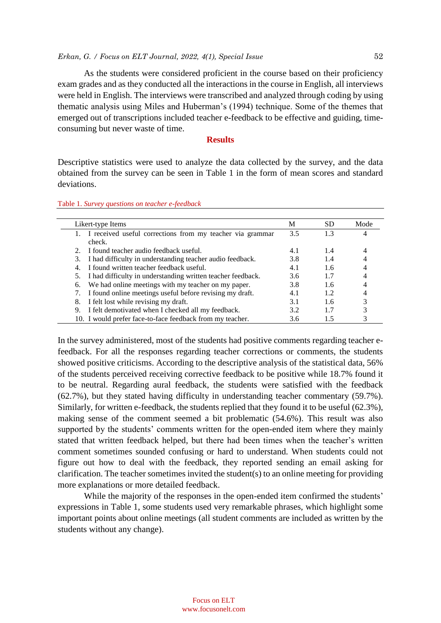### *Erkan, G. / Focus on ELT Journal, 2022, 4(1), Special Issue* 52

As the students were considered proficient in the course based on their proficiency exam grades and as they conducted all the interactions in the course in English, all interviews were held in English. The interviews were transcribed and analyzed through coding by using thematic analysis using Miles and Huberman's (1994) technique. Some of the themes that emerged out of transcriptions included teacher e-feedback to be effective and guiding, timeconsuming but never waste of time.

#### **Results**

Descriptive statistics were used to analyze the data collected by the survey, and the data obtained from the survey can be seen in Table 1 in the form of mean scores and standard deviations.

| Table 1. Survey questions on teacher e-feedback |  |  |
|-------------------------------------------------|--|--|
|-------------------------------------------------|--|--|

|    | Likert-type Items                                                   | М   | <b>SD</b> | Mode |
|----|---------------------------------------------------------------------|-----|-----------|------|
|    | I received useful corrections from my teacher via grammar<br>check. | 3.5 | 1.3       |      |
|    | I found teacher audio feedback useful.                              | 4.1 | 1.4       | 4    |
| 3. | I had difficulty in understanding teacher audio feedback.           | 3.8 | 1.4       |      |
| 4. | I found written teacher feedback useful.                            | 4.1 | 1.6       | 4    |
| 5. | I had difficulty in understanding written teacher feedback.         | 3.6 | 1.7       |      |
| 6. | We had online meetings with my teacher on my paper.                 | 3.8 | 1.6       |      |
|    | I found online meetings useful before revising my draft.            | 4.1 | 1.2       |      |
| 8. | I felt lost while revising my draft.                                | 3.1 | 1.6       |      |
| 9. | I felt demotivated when I checked all my feedback.                  | 3.2 | 1.7       |      |
|    | 10. I would prefer face-to-face feedback from my teacher.           | 3.6 | 1.5       |      |

In the survey administered, most of the students had positive comments regarding teacher efeedback. For all the responses regarding teacher corrections or comments, the students showed positive criticisms. According to the descriptive analysis of the statistical data, 56% of the students perceived receiving corrective feedback to be positive while 18.7% found it to be neutral. Regarding aural feedback, the students were satisfied with the feedback (62.7%), but they stated having difficulty in understanding teacher commentary (59.7%). Similarly, for written e-feedback, the students replied that they found it to be useful (62.3%), making sense of the comment seemed a bit problematic (54.6%). This result was also supported by the students' comments written for the open-ended item where they mainly stated that written feedback helped, but there had been times when the teacher's written comment sometimes sounded confusing or hard to understand. When students could not figure out how to deal with the feedback, they reported sending an email asking for clarification. The teacher sometimes invited the student(s) to an online meeting for providing more explanations or more detailed feedback.

While the majority of the responses in the open-ended item confirmed the students' expressions in Table 1, some students used very remarkable phrases, which highlight some important points about online meetings (all student comments are included as written by the students without any change).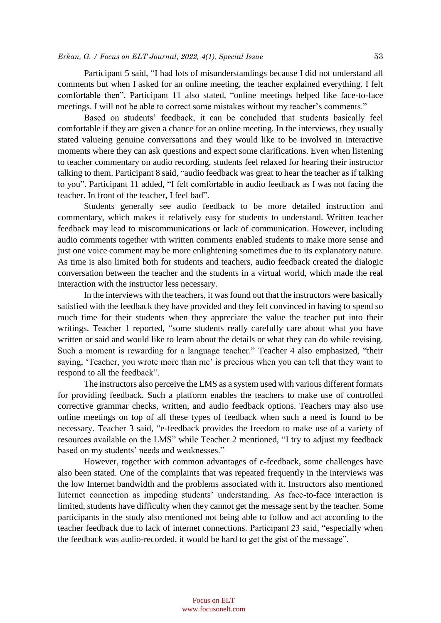Participant 5 said, "I had lots of misunderstandings because I did not understand all comments but when I asked for an online meeting, the teacher explained everything. I felt comfortable then". Participant 11 also stated, "online meetings helped like face-to-face meetings. I will not be able to correct some mistakes without my teacher's comments."

Based on students' feedback, it can be concluded that students basically feel comfortable if they are given a chance for an online meeting. In the interviews, they usually stated valueing genuine conversations and they would like to be involved in interactive moments where they can ask questions and expect some clarifications. Even when listening to teacher commentary on audio recording, students feel relaxed for hearing their instructor talking to them. Participant 8 said, "audio feedback was great to hear the teacher as if talking to you". Participant 11 added, "I felt comfortable in audio feedback as I was not facing the teacher. In front of the teacher, I feel bad".

Students generally see audio feedback to be more detailed instruction and commentary, which makes it relatively easy for students to understand. Written teacher feedback may lead to miscommunications or lack of communication. However, including audio comments together with written comments enabled students to make more sense and just one voice comment may be more enlightening sometimes due to its explanatory nature. As time is also limited both for students and teachers, audio feedback created the dialogic conversation between the teacher and the students in a virtual world, which made the real interaction with the instructor less necessary.

In the interviews with the teachers, it was found out that the instructors were basically satisfied with the feedback they have provided and they felt convinced in having to spend so much time for their students when they appreciate the value the teacher put into their writings. Teacher 1 reported, "some students really carefully care about what you have written or said and would like to learn about the details or what they can do while revising. Such a moment is rewarding for a language teacher." Teacher 4 also emphasized, "their saying, 'Teacher, you wrote more than me' is precious when you can tell that they want to respond to all the feedback".

The instructors also perceive the LMS as a system used with various different formats for providing feedback. Such a platform enables the teachers to make use of controlled corrective grammar checks, written, and audio feedback options. Teachers may also use online meetings on top of all these types of feedback when such a need is found to be necessary. Teacher 3 said, "e-feedback provides the freedom to make use of a variety of resources available on the LMS" while Teacher 2 mentioned, "I try to adjust my feedback based on my students' needs and weaknesses."

However, together with common advantages of e-feedback, some challenges have also been stated. One of the complaints that was repeated frequently in the interviews was the low Internet bandwidth and the problems associated with it. Instructors also mentioned Internet connection as impeding students' understanding. As face-to-face interaction is limited, students have difficulty when they cannot get the message sent by the teacher. Some participants in the study also mentioned not being able to follow and act according to the teacher feedback due to lack of internet connections. Participant 23 said, "especially when the feedback was audio-recorded, it would be hard to get the gist of the message".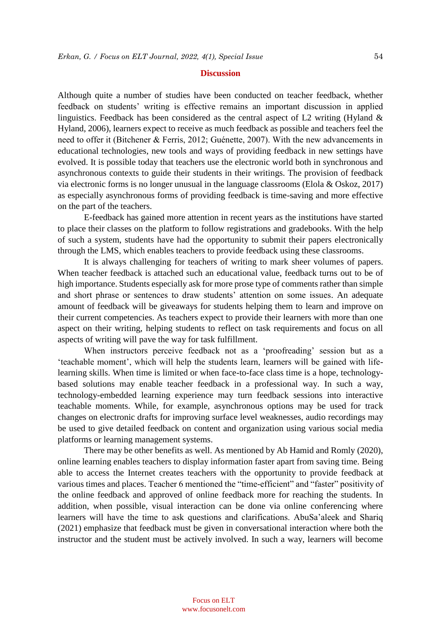#### **Discussion**

Although quite a number of studies have been conducted on teacher feedback, whether feedback on students' writing is effective remains an important discussion in applied linguistics. Feedback has been considered as the central aspect of L2 writing (Hyland & Hyland, 2006), learners expect to receive as much feedback as possible and teachers feel the need to offer it (Bitchener & Ferris, 2012; Guénette, 2007). With the new advancements in educational technologies, new tools and ways of providing feedback in new settings have evolved. It is possible today that teachers use the electronic world both in synchronous and asynchronous contexts to guide their students in their writings. The provision of feedback via electronic forms is no longer unusual in the language classrooms (Elola & Oskoz, 2017) as especially asynchronous forms of providing feedback is time-saving and more effective on the part of the teachers.

E-feedback has gained more attention in recent years as the institutions have started to place their classes on the platform to follow registrations and gradebooks. With the help of such a system, students have had the opportunity to submit their papers electronically through the LMS, which enables teachers to provide feedback using these classrooms.

It is always challenging for teachers of writing to mark sheer volumes of papers. When teacher feedback is attached such an educational value, feedback turns out to be of high importance. Students especially ask for more prose type of comments rather than simple and short phrase or sentences to draw students' attention on some issues. An adequate amount of feedback will be giveaways for students helping them to learn and improve on their current competencies. As teachers expect to provide their learners with more than one aspect on their writing, helping students to reflect on task requirements and focus on all aspects of writing will pave the way for task fulfillment.

When instructors perceive feedback not as a 'proofreading' session but as a 'teachable moment', which will help the students learn, learners will be gained with lifelearning skills. When time is limited or when face-to-face class time is a hope, technologybased solutions may enable teacher feedback in a professional way. In such a way, technology-embedded learning experience may turn feedback sessions into interactive teachable moments. While, for example, asynchronous options may be used for track changes on electronic drafts for improving surface level weaknesses, audio recordings may be used to give detailed feedback on content and organization using various social media platforms or learning management systems.

There may be other benefits as well. As mentioned by Ab Hamid and Romly (2020), online learning enables teachers to display information faster apart from saving time. Being able to access the Internet creates teachers with the opportunity to provide feedback at various times and places. Teacher 6 mentioned the "time-efficient" and "faster" positivity of the online feedback and approved of online feedback more for reaching the students. In addition, when possible, visual interaction can be done via online conferencing where learners will have the time to ask questions and clarifications. AbuSa'aleek and Shariq (2021) emphasize that feedback must be given in conversational interaction where both the instructor and the student must be actively involved. In such a way, learners will become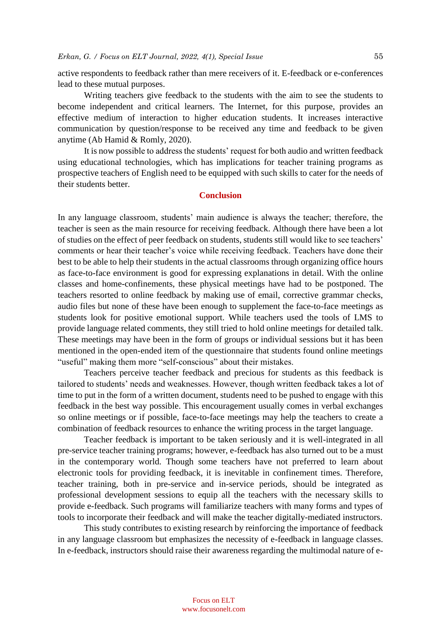active respondents to feedback rather than mere receivers of it. E-feedback or e-conferences lead to these mutual purposes.

Writing teachers give feedback to the students with the aim to see the students to become independent and critical learners. The Internet, for this purpose, provides an effective medium of interaction to higher education students. It increases interactive communication by question/response to be received any time and feedback to be given anytime (Ab Hamid & Romly, 2020).

It is now possible to address the students' request for both audio and written feedback using educational technologies, which has implications for teacher training programs as prospective teachers of English need to be equipped with such skills to cater for the needs of their students better.

# **Conclusion**

In any language classroom, students' main audience is always the teacher; therefore, the teacher is seen as the main resource for receiving feedback. Although there have been a lot of studies on the effect of peer feedback on students, students still would like to see teachers' comments or hear their teacher's voice while receiving feedback. Teachers have done their best to be able to help their students in the actual classrooms through organizing office hours as face-to-face environment is good for expressing explanations in detail. With the online classes and home-confinements, these physical meetings have had to be postponed. The teachers resorted to online feedback by making use of email, corrective grammar checks, audio files but none of these have been enough to supplement the face-to-face meetings as students look for positive emotional support. While teachers used the tools of LMS to provide language related comments, they still tried to hold online meetings for detailed talk. These meetings may have been in the form of groups or individual sessions but it has been mentioned in the open-ended item of the questionnaire that students found online meetings "useful" making them more "self-conscious" about their mistakes.

Teachers perceive teacher feedback and precious for students as this feedback is tailored to students' needs and weaknesses. However, though written feedback takes a lot of time to put in the form of a written document, students need to be pushed to engage with this feedback in the best way possible. This encouragement usually comes in verbal exchanges so online meetings or if possible, face-to-face meetings may help the teachers to create a combination of feedback resources to enhance the writing process in the target language.

Teacher feedback is important to be taken seriously and it is well-integrated in all pre-service teacher training programs; however, e-feedback has also turned out to be a must in the contemporary world. Though some teachers have not preferred to learn about electronic tools for providing feedback, it is inevitable in confinement times. Therefore, teacher training, both in pre-service and in-service periods, should be integrated as professional development sessions to equip all the teachers with the necessary skills to provide e-feedback. Such programs will familiarize teachers with many forms and types of tools to incorporate their feedback and will make the teacher digitally-mediated instructors.

This study contributes to existing research by reinforcing the importance of feedback in any language classroom but emphasizes the necessity of e-feedback in language classes. In e-feedback, instructors should raise their awareness regarding the multimodal nature of e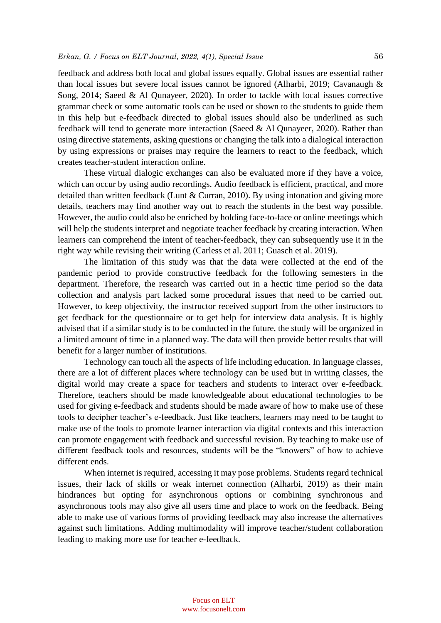feedback and address both local and global issues equally. Global issues are essential rather than local issues but severe local issues cannot be ignored (Alharbi, 2019; Cavanaugh & Song, 2014; Saeed & Al Qunayeer, 2020). In order to tackle with local issues corrective grammar check or some automatic tools can be used or shown to the students to guide them in this help but e-feedback directed to global issues should also be underlined as such feedback will tend to generate more interaction (Saeed & Al Qunayeer, 2020). Rather than using directive statements, asking questions or changing the talk into a dialogical interaction by using expressions or praises may require the learners to react to the feedback, which creates teacher-student interaction online.

These virtual dialogic exchanges can also be evaluated more if they have a voice, which can occur by using audio recordings. Audio feedback is efficient, practical, and more detailed than written feedback (Lunt & Curran, 2010). By using intonation and giving more details, teachers may find another way out to reach the students in the best way possible. However, the audio could also be enriched by holding face-to-face or online meetings which will help the students interpret and negotiate teacher feedback by creating interaction. When learners can comprehend the intent of teacher-feedback, they can subsequently use it in the right way while revising their writing (Carless et al. 2011; Guasch et al. 2019).

The limitation of this study was that the data were collected at the end of the pandemic period to provide constructive feedback for the following semesters in the department. Therefore, the research was carried out in a hectic time period so the data collection and analysis part lacked some procedural issues that need to be carried out. However, to keep objectivity, the instructor received support from the other instructors to get feedback for the questionnaire or to get help for interview data analysis. It is highly advised that if a similar study is to be conducted in the future, the study will be organized in a limited amount of time in a planned way. The data will then provide better results that will benefit for a larger number of institutions.

Technology can touch all the aspects of life including education. In language classes, there are a lot of different places where technology can be used but in writing classes, the digital world may create a space for teachers and students to interact over e-feedback. Therefore, teachers should be made knowledgeable about educational technologies to be used for giving e-feedback and students should be made aware of how to make use of these tools to decipher teacher's e-feedback. Just like teachers, learners may need to be taught to make use of the tools to promote learner interaction via digital contexts and this interaction can promote engagement with feedback and successful revision. By teaching to make use of different feedback tools and resources, students will be the "knowers" of how to achieve different ends.

When internet is required, accessing it may pose problems. Students regard technical issues, their lack of skills or weak internet connection (Alharbi, 2019) as their main hindrances but opting for asynchronous options or combining synchronous and asynchronous tools may also give all users time and place to work on the feedback. Being able to make use of various forms of providing feedback may also increase the alternatives against such limitations. Adding multimodality will improve teacher/student collaboration leading to making more use for teacher e-feedback.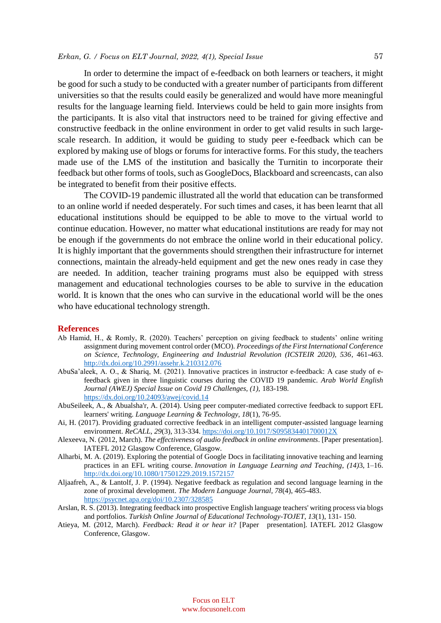#### *Erkan, G. / Focus on ELT Journal, 2022, 4(1), Special Issue* 57

In order to determine the impact of e-feedback on both learners or teachers, it might be good for such a study to be conducted with a greater number of participants from different universities so that the results could easily be generalized and would have more meaningful results for the language learning field. Interviews could be held to gain more insights from the participants. It is also vital that instructors need to be trained for giving effective and constructive feedback in the online environment in order to get valid results in such largescale research. In addition, it would be guiding to study peer e-feedback which can be explored by making use of blogs or forums for interactive forms. For this study, the teachers made use of the LMS of the institution and basically the Turnitin to incorporate their feedback but other forms of tools, such as GoogleDocs, Blackboard and screencasts, can also be integrated to benefit from their positive effects.

The COVID-19 pandemic illustrated all the world that education can be transformed to an online world if needed desperately. For such times and cases, it has been learnt that all educational institutions should be equipped to be able to move to the virtual world to continue education. However, no matter what educational institutions are ready for may not be enough if the governments do not embrace the online world in their educational policy. It is highly important that the governments should strengthen their infrastructure for internet connections, maintain the already-held equipment and get the new ones ready in case they are needed. In addition, teacher training programs must also be equipped with stress management and educational technologies courses to be able to survive in the education world. It is known that the ones who can survive in the educational world will be the ones who have educational technology strength.

#### **References**

- Ab Hamid, H., & Romly, R. (2020). Teachers' perception on giving feedback to students' online writing assignment during movement control order (MCO). *Proceedings of the First International Conference on Science, Technology, Engineering and Industrial Revolution (ICSTEIR 2020), 536*, 461-463. <http://dx.doi.org/10.2991/assehr.k.210312.076>
- AbuSa'aleek, A. O., & Shariq, M. (2021). Innovative practices in instructor e-feedback: A case study of efeedback given in three linguistic courses during the COVID 19 pandemic. *Arab World English Journal (AWEJ) Special Issue on Covid 19 Challenges, (1),* 183-198. <https://dx.doi.org/10.24093/awej/covid.14>
- AbuSeileek, A., & Abualsha'r, A. (2014). Using peer computer-mediated corrective feedback to support EFL learners' writing. *Language Learning & Technology, 18*(1), 76-95.
- Ai, H. (2017). Providing graduated corrective feedback in an intelligent computer-assisted language learning environment. *ReCALL, 29*(3), 313-334[. https://doi.org/10.1017/S095834401700012X](https://doi.org/10.1017/S095834401700012X)
- Alexeeva, N. (2012, March). *The effectiveness of audio feedback in online environments*. [Paper presentation]. IATEFL 2012 Glasgow Conference, Glasgow.
- Alharbi, M. A. (2019). Exploring the potential of Google Docs in facilitating innovative teaching and learning practices in an EFL writing course. *Innovation in Language Learning and Teaching*, *(14)*3, 1–16. <http://dx.doi.org/10.1080/17501229.2019.1572157>
- Aljaafreh, A., & Lantolf, J. P. (1994). Negative feedback as regulation and second language learning in the zone of proximal development. *The Modern Language Journal, 78*(4), 465-483. <https://psycnet.apa.org/doi/10.2307/328585>
- Arslan, R. S. (2013). Integrating feedback into prospective English language teachers' writing process via blogs and portfolios. *Turkish Online Journal of Educational Technology-TOJET, 13*(1), 131- 150.
- Atieya, M. (2012, March). *Feedback: Read it or hear it?* [Paper presentation]. IATEFL 2012 Glasgow Conference, Glasgow.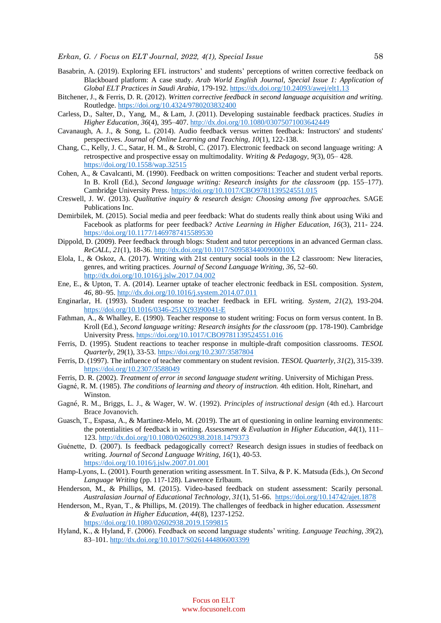- Basabrin, A. (2019). Exploring EFL instructors' and students' perceptions of written corrective feedback on Blackboard platform: A case study. *Arab World English Journal, Special Issue 1: Application of Global ELT Practices in Saudi Arabia*, 179-192[. https://dx.doi.org/10.24093/awej/elt1.13](https://dx.doi.org/10.24093/awej/elt1.13)
- Bitchener, J., & Ferris, D. R. (2012). *Written corrective feedback in second language acquisition and writing.* Routledge. <https://doi.org/10.4324/9780203832400>
- Carless, D., Salter, D., Yang, M., & Lam, J. (2011). Developing sustainable feedback practices. *Studies in Higher Education, 36*(4), 395–407. <http://dx.doi.org/10.1080/03075071003642449>
- Cavanaugh, A. J., & Song, L. (2014). Audio feedback versus written feedback: Instructors' and students' perspectives. *Journal of Online Learning and Teaching, 10*(1), 122-138.
- Chang, C., Kelly, J. C., Satar, H. M., & Strobl, C. (2017). Electronic feedback on second language writing: A retrospective and prospective essay on multimodality. *Writing & Pedagogy, 9*(3), 05– 428. <https://doi.org/10.1558/wap.32515>
- Cohen, A., & Cavalcanti, M. (1990). Feedback on written compositions: Teacher and student verbal reports. In B. Kroll (Ed.), *Second language writing: Research insights for the classroom* (pp. 155–177). Cambridge University Press. <https://doi.org/10.1017/CBO9781139524551.015>
- Creswell, J. W. (2013). *Qualitative inquiry & research design: Choosing among five approaches.* SAGE Publications Inc.
- Demirbilek, M. (2015). Social media and peer feedback: What do students really think about using Wiki and Facebook as platforms for peer feedback? *Active Learning in Higher Education, 16*(3), 211- 224. <https://doi.org/10.1177/1469787415589530>
- Dippold, D. (2009). Peer feedback through blogs: Student and tutor perceptions in an advanced German class. *ReCALL, 21*(1), 18-36. <http://dx.doi.org/10.1017/S095834400900010X>
- Elola, I., & Oskoz, A. (2017). Writing with 21st century social tools in the L2 classroom: New literacies, genres, and writing practices. *Journal of Second Language Writing, 36*, 52–60. <http://dx.doi.org/10.1016/j.jslw.2017.04.002>
- Ene, E., & Upton, T. A. (2014). Learner uptake of teacher electronic feedback in ESL composition. *System, 46*, 80–95. <http://dx.doi.org/10.1016/j.system.2014.07.011>
- Enginarlar, H. (1993). Student response to teacher feedback in EFL writing. *System*, *21*(2), 193-204. [https://doi.org/10.1016/0346-251X\(93\)90041-E](https://doi.org/10.1016/0346-251X(93)90041-E)
- Fathman, A., & Whalley, E. (1990). Teacher response to student writing: Focus on form versus content. In B. Kroll (Ed.), *Second language writing: Research insights for the classroom* (pp. 178-190). Cambridge University Press. <https://doi.org/10.1017/CBO9781139524551.016>
- Ferris, D. (1995). Student reactions to teacher response in multiple-draft composition classrooms. *TESOL Quarterly*, 29(1), 33-53. <https://doi.org/10.2307/3587804>
- Ferris, D. (1997). The influence of teacher commentary on student revision. *TESOL Quarterly*, *31*(2), 315-339. <https://doi.org/10.2307/3588049>
- Ferris, D. R. (2002). *Treatment of error in second language student writing*. University of Michigan Press.
- Gagné, R. M. (1985). *The conditions of learning and theory of instruction.* 4th edition. Holt, Rinehart, and Winston.
- Gagné, R. M., Briggs, L. J., & Wager, W. W. (1992). *Principles of instructional design* (4th ed.). Harcourt Brace Jovanovich.
- Guasch, T., Espasa, A., & Martinez-Melo, M. (2019). The art of questioning in online learning environments: the potentialities of feedback in writing. *Assessment & Evaluation in Higher Education, 44*(1), 111– 123. <http://dx.doi.org/10.1080/02602938.2018.1479373>
- Guénette, D. (2007). Is feedback pedagogically correct? Research design issues in studies of feedback on writing. *Journal of Second Language Writing, 16*(1), 40-53. <https://doi.org/10.1016/j.jslw.2007.01.001>
- Hamp-Lyons, L. (2001). Fourth generation writing assessment. In T. Silva, & P. K. Matsuda (Eds.), *On Second Language Writing* (pp. 117-128). Lawrence Erlbaum.
- Henderson, M., & Phillips, M. (2015). Video-based feedback on student assessment: Scarily personal. *Australasian Journal of Educational Technology, 31*(1), 51-66.<https://doi.org/10.14742/ajet.1878>
- Henderson, M., Ryan, T., & Phillips, M. (2019). The challenges of feedback in higher education. *Assessment & Evaluation in Higher Education, 44*(8), 1237-1252.

<https://doi.org/10.1080/02602938.2019.1599815>

Hyland, K., & Hyland, F. (2006). Feedback on second language students' writing. *Language Teaching, 39*(2), 83–101. <http://dx.doi.org/10.1017/S0261444806003399>